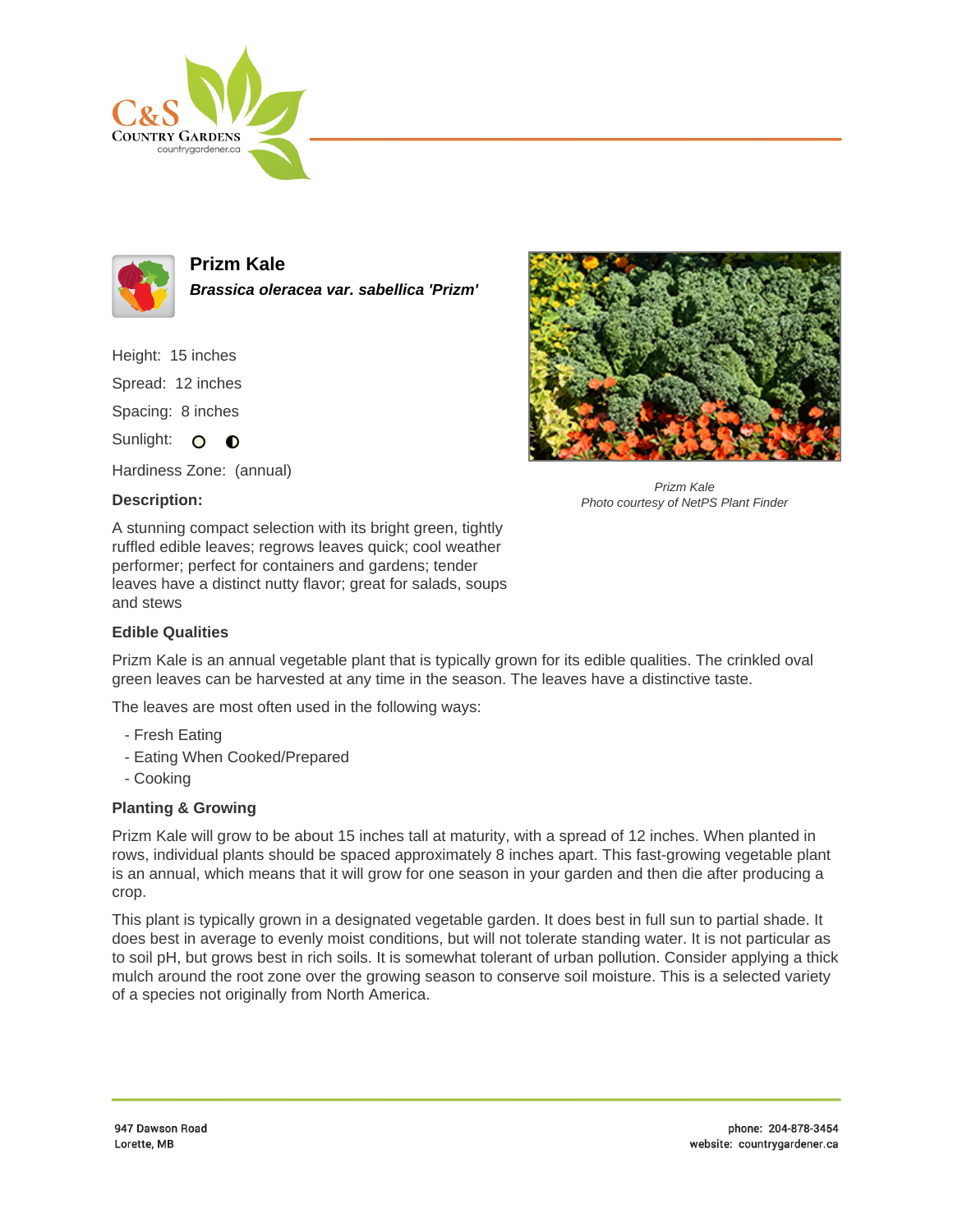



**Prizm Kale Brassica oleracea var. sabellica 'Prizm'**

Height: 15 inches Spread: 12 inches Spacing: 8 inches

Sunlight: O O

Hardiness Zone: (annual)

## **Description:**



Prizm Kale Photo courtesy of NetPS Plant Finder

A stunning compact selection with its bright green, tightly ruffled edible leaves; regrows leaves quick; cool weather performer; perfect for containers and gardens; tender leaves have a distinct nutty flavor; great for salads, soups and stews

## **Edible Qualities**

Prizm Kale is an annual vegetable plant that is typically grown for its edible qualities. The crinkled oval green leaves can be harvested at any time in the season. The leaves have a distinctive taste.

The leaves are most often used in the following ways:

- Fresh Eating
- Eating When Cooked/Prepared
- Cooking

## **Planting & Growing**

Prizm Kale will grow to be about 15 inches tall at maturity, with a spread of 12 inches. When planted in rows, individual plants should be spaced approximately 8 inches apart. This fast-growing vegetable plant is an annual, which means that it will grow for one season in your garden and then die after producing a crop.

This plant is typically grown in a designated vegetable garden. It does best in full sun to partial shade. It does best in average to evenly moist conditions, but will not tolerate standing water. It is not particular as to soil pH, but grows best in rich soils. It is somewhat tolerant of urban pollution. Consider applying a thick mulch around the root zone over the growing season to conserve soil moisture. This is a selected variety of a species not originally from North America.